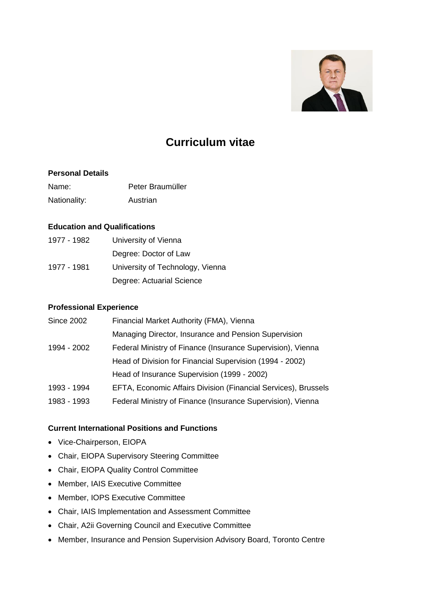

# **Curriculum vitae**

#### **Personal Details**

| Name:        | Peter Braumüller |
|--------------|------------------|
| Nationality: | Austrian         |

#### **Education and Qualifications**

| 1977 - 1982 | University of Vienna             |
|-------------|----------------------------------|
|             | Degree: Doctor of Law            |
| 1977 - 1981 | University of Technology, Vienna |
|             | Degree: Actuarial Science        |

# **Professional Experience**

| <b>Since 2002</b> | Financial Market Authority (FMA), Vienna                       |
|-------------------|----------------------------------------------------------------|
|                   | Managing Director, Insurance and Pension Supervision           |
| 1994 - 2002       | Federal Ministry of Finance (Insurance Supervision), Vienna    |
|                   | Head of Division for Financial Supervision (1994 - 2002)       |
|                   | Head of Insurance Supervision (1999 - 2002)                    |
| 1993 - 1994       | EFTA, Economic Affairs Division (Financial Services), Brussels |
| 1983 - 1993       | Federal Ministry of Finance (Insurance Supervision), Vienna    |
|                   |                                                                |

# **Current International Positions and Functions**

- Vice-Chairperson, EIOPA
- Chair, EIOPA Supervisory Steering Committee
- Chair, EIOPA Quality Control Committee
- Member, IAIS Executive Committee
- Member, IOPS Executive Committee
- Chair, IAIS Implementation and Assessment Committee
- Chair, A2ii Governing Council and Executive Committee
- Member, Insurance and Pension Supervision Advisory Board, Toronto Centre